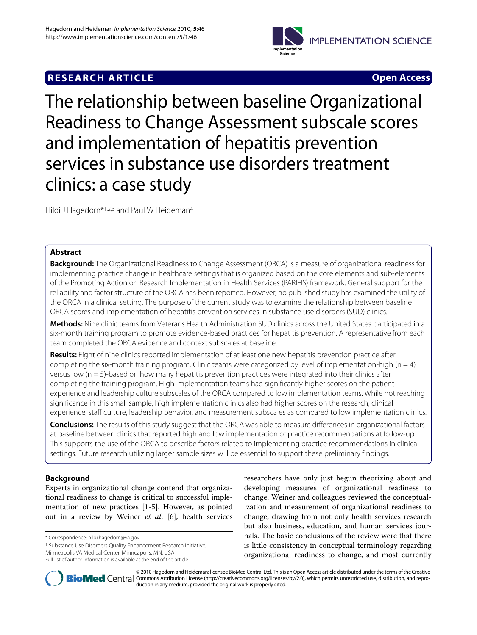

# **RESEARCH ARTICLE Open Access**

The relationship between baseline Organizational Readiness to Change Assessment subscale scores and implementation of hepatitis prevention services in substance use disorders treatment clinics: a case study

Hildi J Hagedorn\*1,2,3 and Paul W Heideman<sup>4</sup>

# **Abstract**

**Background:** The Organizational Readiness to Change Assessment (ORCA) is a measure of organizational readiness for implementing practice change in healthcare settings that is organized based on the core elements and sub-elements of the Promoting Action on Research Implementation in Health Services (PARIHS) framework. General support for the reliability and factor structure of the ORCA has been reported. However, no published study has examined the utility of the ORCA in a clinical setting. The purpose of the current study was to examine the relationship between baseline ORCA scores and implementation of hepatitis prevention services in substance use disorders (SUD) clinics.

**Methods:** Nine clinic teams from Veterans Health Administration SUD clinics across the United States participated in a six-month training program to promote evidence-based practices for hepatitis prevention. A representative from each team completed the ORCA evidence and context subscales at baseline.

**Results:** Eight of nine clinics reported implementation of at least one new hepatitis prevention practice after completing the six-month training program. Clinic teams were categorized by level of implementation-high ( $n = 4$ ) versus low (n = 5)-based on how many hepatitis prevention practices were integrated into their clinics after completing the training program. High implementation teams had significantly higher scores on the patient experience and leadership culture subscales of the ORCA compared to low implementation teams. While not reaching significance in this small sample, high implementation clinics also had higher scores on the research, clinical experience, staff culture, leadership behavior, and measurement subscales as compared to low implementation clinics.

**Conclusions:** The results of this study suggest that the ORCA was able to measure differences in organizational factors at baseline between clinics that reported high and low implementation of practice recommendations at follow-up. This supports the use of the ORCA to describe factors related to implementing practice recommendations in clinical settings. Future research utilizing larger sample sizes will be essential to support these preliminary findings.

# **Background**

Experts in organizational change contend that organizational readiness to change is critical to successful implementation of new practices [[1-](#page-11-0)[5\]](#page-11-1). However, as pointed out in a review by Weiner *et al*. [[6\]](#page-11-2), health services

\* Correspondence: hildi.hagedorn@va.gov

<sup>1</sup> Substance Use Disorders Quality Enhancement Research Initiative,

Minneapolis VA Medical Center, Minneapolis, MN, USA

Full list of author information is available at the end of the article

researchers have only just begun theorizing about and developing measures of organizational readiness to change. Weiner and colleagues reviewed the conceptualization and measurement of organizational readiness to change, drawing from not only health services research but also business, education, and human services journals. The basic conclusions of the review were that there is little consistency in conceptual terminology regarding organizational readiness to change, and most currently



© 2010 Hagedorn and Heideman; licensee BioMed Central Ltd. This is an Open Access article distributed under the terms of the Creative Bio Med Central Commons Attribution License (http://creativecommons.org/licenses/by/2.0), which permits unrestricted use, distribution, and reproduction in any medium, provided the original work is properly cited.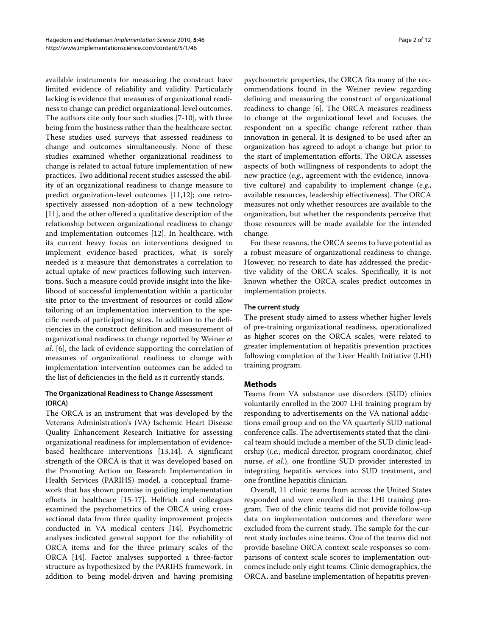available instruments for measuring the construct have limited evidence of reliability and validity. Particularly lacking is evidence that measures of organizational readiness to change can predict organizational-level outcomes. The authors cite only four such studies [[7-](#page-11-3)[10](#page-11-4)], with three being from the business rather than the healthcare sector. These studies used surveys that assessed readiness to change and outcomes simultaneously. None of these studies examined whether organizational readiness to change is related to actual future implementation of new practices. Two additional recent studies assessed the ability of an organizational readiness to change measure to predict organization-level outcomes [[11](#page-11-5),[12\]](#page-11-6); one retrospectively assessed non-adoption of a new technology [[11\]](#page-11-5), and the other offered a qualitative description of the relationship between organizational readiness to change and implementation outcomes [[12\]](#page-11-6). In healthcare, with its current heavy focus on interventions designed to implement evidence-based practices, what is sorely needed is a measure that demonstrates a correlation to actual uptake of new practices following such interventions. Such a measure could provide insight into the likelihood of successful implementation within a particular site prior to the investment of resources or could allow tailoring of an implementation intervention to the specific needs of participating sites. In addition to the deficiencies in the construct definition and measurement of organizational readiness to change reported by Weiner *et al*. [[6\]](#page-11-2), the lack of evidence supporting the correlation of measures of organizational readiness to change with implementation intervention outcomes can be added to the list of deficiencies in the field as it currently stands.

## **The Organizational Readiness to Change Assessment (ORCA)**

The ORCA is an instrument that was developed by the Veterans Administration's (VA) Ischemic Heart Disease Quality Enhancement Research Initiative for assessing organizational readiness for implementation of evidencebased healthcare interventions [\[13](#page-11-7)[,14](#page-11-8)]. A significant strength of the ORCA is that it was developed based on the Promoting Action on Research Implementation in Health Services (PARIHS) model, a conceptual framework that has shown promise in guiding implementation efforts in healthcare [\[15](#page-11-9)[-17](#page-11-10)]. Helfrich and colleagues examined the psychometrics of the ORCA using crosssectional data from three quality improvement projects conducted in VA medical centers [\[14\]](#page-11-8). Psychometric analyses indicated general support for the reliability of ORCA items and for the three primary scales of the ORCA [[14\]](#page-11-8). Factor analyses supported a three-factor structure as hypothesized by the PARIHS framework. In addition to being model-driven and having promising

psychometric properties, the ORCA fits many of the recommendations found in the Weiner review regarding defining and measuring the construct of organizational readiness to change [[6\]](#page-11-2). The ORCA measures readiness to change at the organizational level and focuses the respondent on a specific change referent rather than innovation in general. It is designed to be used after an organization has agreed to adopt a change but prior to the start of implementation efforts. The ORCA assesses aspects of both willingness of respondents to adopt the new practice (*e.g.*, agreement with the evidence, innovative culture) and capability to implement change (*e.g.*, available resources, leadership effectiveness). The ORCA measures not only whether resources are available to the organization, but whether the respondents perceive that those resources will be made available for the intended change.

For these reasons, the ORCA seems to have potential as a robust measure of organizational readiness to change. However, no research to date has addressed the predictive validity of the ORCA scales. Specifically, it is not known whether the ORCA scales predict outcomes in implementation projects.

## **The current study**

The present study aimed to assess whether higher levels of pre-training organizational readiness, operationalized as higher scores on the ORCA scales, were related to greater implementation of hepatitis prevention practices following completion of the Liver Health Initiative (LHI) training program.

## **Methods**

Teams from VA substance use disorders (SUD) clinics voluntarily enrolled in the 2007 LHI training program by responding to advertisements on the VA national addictions email group and on the VA quarterly SUD national conference calls. The advertisements stated that the clinical team should include a member of the SUD clinic leadership (*i.e.*, medical director, program coordinator, chief nurse, *et al*.), one frontline SUD provider interested in integrating hepatitis services into SUD treatment, and one frontline hepatitis clinician.

Overall, 11 clinic teams from across the United States responded and were enrolled in the LHI training program. Two of the clinic teams did not provide follow-up data on implementation outcomes and therefore were excluded from the current study. The sample for the current study includes nine teams. One of the teams did not provide baseline ORCA context scale responses so comparisons of context scale scores to implementation outcomes include only eight teams. Clinic demographics, the ORCA, and baseline implementation of hepatitis preven-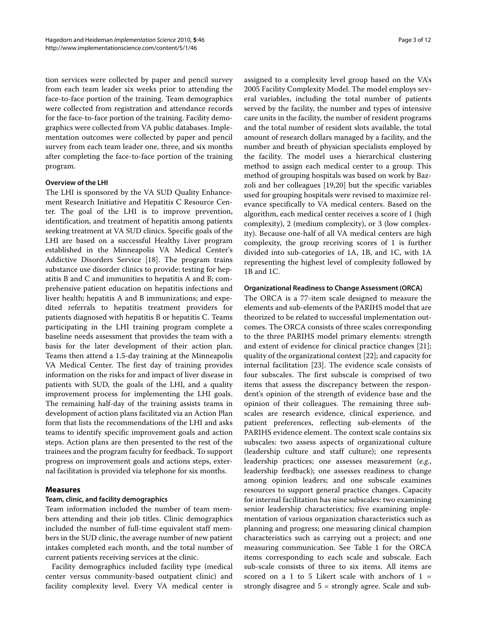tion services were collected by paper and pencil survey from each team leader six weeks prior to attending the face-to-face portion of the training. Team demographics were collected from registration and attendance records for the face-to-face portion of the training. Facility demographics were collected from VA public databases. Implementation outcomes were collected by paper and pencil survey from each team leader one, three, and six months after completing the face-to-face portion of the training program.

### **Overview of the LHI**

The LHI is sponsored by the VA SUD Quality Enhancement Research Initiative and Hepatitis C Resource Center. The goal of the LHI is to improve prevention, identification, and treatment of hepatitis among patients seeking treatment at VA SUD clinics. Specific goals of the LHI are based on a successful Healthy Liver program established in the Minneapolis VA Medical Center's Addictive Disorders Service [[18](#page-11-11)]. The program trains substance use disorder clinics to provide: testing for hepatitis B and C and immunities to hepatitis A and B; comprehensive patient education on hepatitis infections and liver health; hepatitis A and B immunizations; and expedited referrals to hepatitis treatment providers for patients diagnosed with hepatitis B or hepatitis C. Teams participating in the LHI training program complete a baseline needs assessment that provides the team with a basis for the later development of their action plan. Teams then attend a 1.5-day training at the Minneapolis VA Medical Center. The first day of training provides information on the risks for and impact of liver disease in patients with SUD, the goals of the LHI, and a quality improvement process for implementing the LHI goals. The remaining half-day of the training assists teams in development of action plans facilitated via an Action Plan form that lists the recommendations of the LHI and asks teams to identify specific improvement goals and action steps. Action plans are then presented to the rest of the trainees and the program faculty for feedback. To support progress on improvement goals and actions steps, external facilitation is provided via telephone for six months.

#### **Measures**

## **Team, clinic, and facility demographics**

Team information included the number of team members attending and their job titles. Clinic demographics included the number of full-time equivalent staff members in the SUD clinic, the average number of new patient intakes completed each month, and the total number of current patients receiving services at the clinic.

Facility demographics included facility type (medical center versus community-based outpatient clinic) and facility complexity level. Every VA medical center is

assigned to a complexity level group based on the VA's 2005 Facility Complexity Model. The model employs several variables, including the total number of patients served by the facility, the number and types of intensive care units in the facility, the number of resident programs and the total number of resident slots available, the total amount of research dollars managed by a facility, and the number and breath of physician specialists employed by the facility. The model uses a hierarchical clustering method to assign each medical center to a group. This method of grouping hospitals was based on work by Bazzoli and her colleagues [[19](#page-11-12),[20\]](#page-11-13) but the specific variables used for grouping hospitals were revised to maximize relevance specifically to VA medical centers. Based on the algorithm, each medical center receives a score of 1 (high complexity), 2 (medium complexity), or 3 (low complexity). Because one-half of all VA medical centers are high complexity, the group receiving scores of 1 is further divided into sub-categories of 1A, 1B, and 1C, with 1A representing the highest level of complexity followed by 1B and 1C.

## **Organizational Readiness to Change Assessment (ORCA)**

The ORCA is a 77-item scale designed to measure the elements and sub-elements of the PARIHS model that are theorized to be related to successful implementation outcomes. The ORCA consists of three scales corresponding to the three PARIHS model primary elements: strength and extent of evidence for clinical practice changes [\[21](#page-11-14)]; quality of the organizational context [[22](#page-11-15)]; and capacity for internal facilitation [[23](#page-11-16)]. The evidence scale consists of four subscales. The first subscale is comprised of two items that assess the discrepancy between the respondent's opinion of the strength of evidence base and the opinion of their colleagues. The remaining three subscales are research evidence, clinical experience, and patient preferences, reflecting sub-elements of the PARIHS evidence element. The context scale contains six subscales: two assess aspects of organizational culture (leadership culture and staff culture); one represents leadership practices; one assesses measurement (*e.g.*, leadership feedback); one assesses readiness to change among opinion leaders; and one subscale examines resources to support general practice changes. Capacity for internal facilitation has nine subscales: two examining senior leadership characteristics; five examining implementation of various organization characteristics such as planning and progress; one measuring clinical champion characteristics such as carrying out a project; and one measuring communication. See Table 1 for the ORCA items corresponding to each scale and subscale. Each sub-scale consists of three to six items. All items are scored on a 1 to 5 Likert scale with anchors of  $1 =$ strongly disagree and 5 = strongly agree. Scale and sub-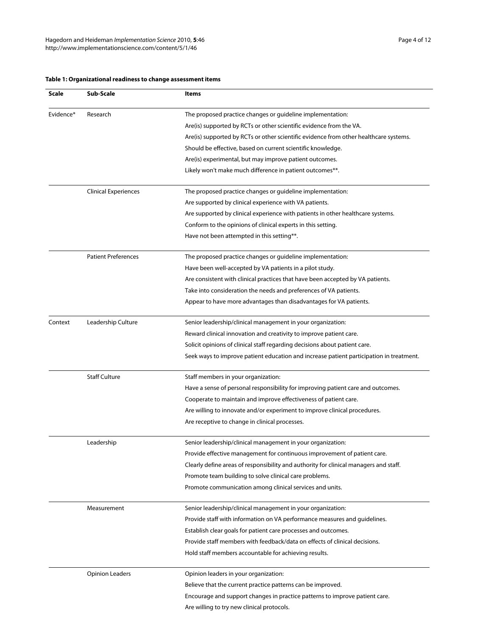| Table 1: Organizational readiness to change assessment items |
|--------------------------------------------------------------|
|--------------------------------------------------------------|

| Scale     | Sub-Scale                   | Items                                                                                   |
|-----------|-----------------------------|-----------------------------------------------------------------------------------------|
| Evidence* | Research                    | The proposed practice changes or quideline implementation:                              |
|           |                             | Are(is) supported by RCTs or other scientific evidence from the VA.                     |
|           |                             | Are(is) supported by RCTs or other scientific evidence from other healthcare systems.   |
|           |                             | Should be effective, based on current scientific knowledge.                             |
|           |                             | Are(is) experimental, but may improve patient outcomes.                                 |
|           |                             | Likely won't make much difference in patient outcomes**.                                |
|           | <b>Clinical Experiences</b> | The proposed practice changes or guideline implementation:                              |
|           |                             | Are supported by clinical experience with VA patients.                                  |
|           |                             | Are supported by clinical experience with patients in other healthcare systems.         |
|           |                             | Conform to the opinions of clinical experts in this setting.                            |
|           |                             | Have not been attempted in this setting**.                                              |
|           | <b>Patient Preferences</b>  | The proposed practice changes or quideline implementation:                              |
|           |                             | Have been well-accepted by VA patients in a pilot study.                                |
|           |                             | Are consistent with clinical practices that have been accepted by VA patients.          |
|           |                             | Take into consideration the needs and preferences of VA patients.                       |
|           |                             | Appear to have more advantages than disadvantages for VA patients.                      |
| Context   | Leadership Culture          | Senior leadership/clinical management in your organization:                             |
|           |                             | Reward clinical innovation and creativity to improve patient care.                      |
|           |                             | Solicit opinions of clinical staff regarding decisions about patient care.              |
|           |                             | Seek ways to improve patient education and increase patient participation in treatment. |
|           | <b>Staff Culture</b>        | Staff members in your organization:                                                     |
|           |                             | Have a sense of personal responsibility for improving patient care and outcomes.        |
|           |                             | Cooperate to maintain and improve effectiveness of patient care.                        |
|           |                             | Are willing to innovate and/or experiment to improve clinical procedures.               |
|           |                             | Are receptive to change in clinical processes.                                          |
|           | Leadership                  | Senior leadership/clinical management in your organization:                             |
|           |                             | Provide effective management for continuous improvement of patient care.                |
|           |                             | Clearly define areas of responsibility and authority for clinical managers and staff.   |
|           |                             | Promote team building to solve clinical care problems.                                  |
|           |                             | Promote communication among clinical services and units.                                |
|           | Measurement                 | Senior leadership/clinical management in your organization:                             |
|           |                             | Provide staff with information on VA performance measures and quidelines.               |
|           |                             | Establish clear goals for patient care processes and outcomes.                          |
|           |                             | Provide staff members with feedback/data on effects of clinical decisions.              |
|           |                             | Hold staff members accountable for achieving results.                                   |
|           | <b>Opinion Leaders</b>      | Opinion leaders in your organization:                                                   |
|           |                             | Believe that the current practice patterns can be improved.                             |
|           |                             | Encourage and support changes in practice patterns to improve patient care.             |
|           |                             | Are willing to try new clinical protocols.                                              |
|           |                             |                                                                                         |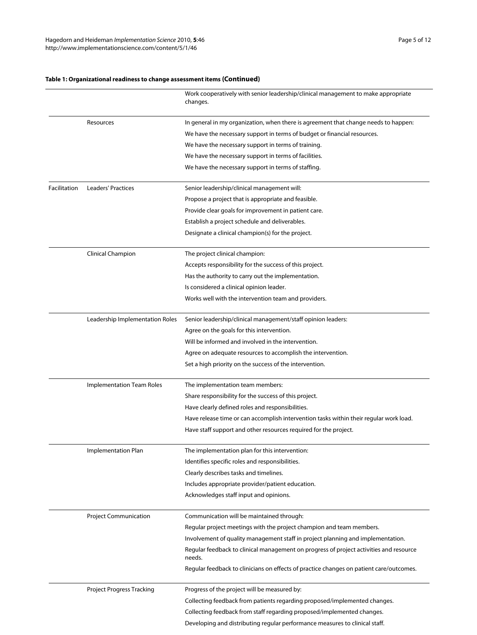## **Table 1: Organizational readiness to change assessment items (Continued)**

|              |                                 | Work cooperatively with senior leadership/clinical management to make appropriate<br>changes.    |
|--------------|---------------------------------|--------------------------------------------------------------------------------------------------|
|              | Resources                       | In general in my organization, when there is agreement that change needs to happen:              |
|              |                                 | We have the necessary support in terms of budget or financial resources.                         |
|              |                                 | We have the necessary support in terms of training.                                              |
|              |                                 | We have the necessary support in terms of facilities.                                            |
|              |                                 | We have the necessary support in terms of staffing.                                              |
| Facilitation | <b>Leaders' Practices</b>       | Senior leadership/clinical management will:                                                      |
|              |                                 | Propose a project that is appropriate and feasible.                                              |
|              |                                 | Provide clear goals for improvement in patient care.                                             |
|              |                                 | Establish a project schedule and deliverables.                                                   |
|              |                                 | Designate a clinical champion(s) for the project.                                                |
|              | <b>Clinical Champion</b>        | The project clinical champion:                                                                   |
|              |                                 | Accepts responsibility for the success of this project.                                          |
|              |                                 | Has the authority to carry out the implementation.                                               |
|              |                                 | Is considered a clinical opinion leader.                                                         |
|              |                                 | Works well with the intervention team and providers.                                             |
|              | Leadership Implementation Roles | Senior leadership/clinical management/staff opinion leaders:                                     |
|              |                                 | Agree on the goals for this intervention.                                                        |
|              |                                 | Will be informed and involved in the intervention.                                               |
|              |                                 | Agree on adequate resources to accomplish the intervention.                                      |
|              |                                 | Set a high priority on the success of the intervention.                                          |
|              | Implementation Team Roles       | The implementation team members:                                                                 |
|              |                                 | Share responsibility for the success of this project.                                            |
|              |                                 | Have clearly defined roles and responsibilities.                                                 |
|              |                                 | Have release time or can accomplish intervention tasks within their regular work load.           |
|              |                                 | Have staff support and other resources required for the project.                                 |
|              | Implementation Plan             | The implementation plan for this intervention:                                                   |
|              |                                 | Identifies specific roles and responsibilities.                                                  |
|              |                                 | Clearly describes tasks and timelines.                                                           |
|              |                                 | Includes appropriate provider/patient education.                                                 |
|              |                                 | Acknowledges staff input and opinions.                                                           |
|              | <b>Project Communication</b>    | Communication will be maintained through:                                                        |
|              |                                 | Regular project meetings with the project champion and team members.                             |
|              |                                 | Involvement of quality management staff in project planning and implementation.                  |
|              |                                 | Regular feedback to clinical management on progress of project activities and resource<br>needs. |
|              |                                 | Regular feedback to clinicians on effects of practice changes on patient care/outcomes.          |
|              | Project Progress Tracking       | Progress of the project will be measured by:                                                     |
|              |                                 | Collecting feedback from patients regarding proposed/implemented changes.                        |
|              |                                 | Collecting feedback from staff regarding proposed/implemented changes.                           |
|              |                                 | Developing and distributing regular performance measures to clinical staff.                      |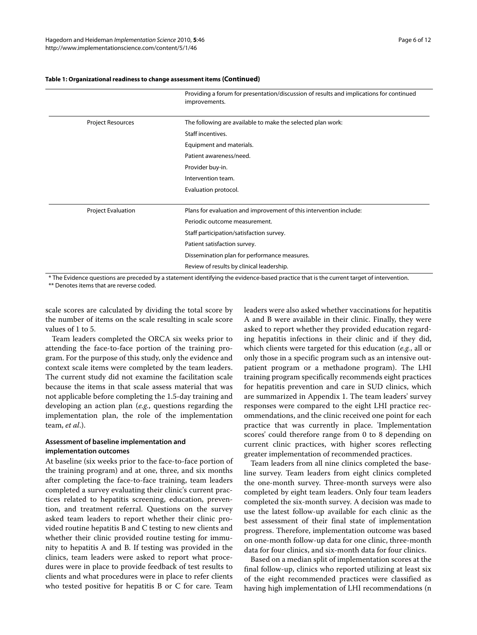#### **Table 1: Organizational readiness to change assessment items (Continued)**

|                           | Providing a forum for presentation/discussion of results and implications for continued<br>improvements. |  |  |  |
|---------------------------|----------------------------------------------------------------------------------------------------------|--|--|--|
| <b>Project Resources</b>  | The following are available to make the selected plan work:                                              |  |  |  |
|                           | Staff incentives.                                                                                        |  |  |  |
|                           | Equipment and materials.                                                                                 |  |  |  |
|                           | Patient awareness/need.                                                                                  |  |  |  |
|                           | Provider buy-in.                                                                                         |  |  |  |
|                           | Intervention team.                                                                                       |  |  |  |
|                           | Evaluation protocol.                                                                                     |  |  |  |
| <b>Project Evaluation</b> | Plans for evaluation and improvement of this intervention include:                                       |  |  |  |
|                           | Periodic outcome measurement.                                                                            |  |  |  |
|                           | Staff participation/satisfaction survey.                                                                 |  |  |  |
|                           | Patient satisfaction survey.                                                                             |  |  |  |
|                           | Dissemination plan for performance measures.                                                             |  |  |  |
|                           | Review of results by clinical leadership.                                                                |  |  |  |

\* The Evidence questions are preceded by a statement identifying the evidence-based practice that is the current target of intervention.

\*\* Denotes items that are reverse coded.

scale scores are calculated by dividing the total score by the number of items on the scale resulting in scale score values of 1 to 5.

Team leaders completed the ORCA six weeks prior to attending the face-to-face portion of the training program. For the purpose of this study, only the evidence and context scale items were completed by the team leaders. The current study did not examine the facilitation scale because the items in that scale assess material that was not applicable before completing the 1.5-day training and developing an action plan (*e.g.*, questions regarding the implementation plan, the role of the implementation team, *et al*.).

## **Assessment of baseline implementation and implementation outcomes**

At baseline (six weeks prior to the face-to-face portion of the training program) and at one, three, and six months after completing the face-to-face training, team leaders completed a survey evaluating their clinic's current practices related to hepatitis screening, education, prevention, and treatment referral. Questions on the survey asked team leaders to report whether their clinic provided routine hepatitis B and C testing to new clients and whether their clinic provided routine testing for immunity to hepatitis A and B. If testing was provided in the clinics, team leaders were asked to report what procedures were in place to provide feedback of test results to clients and what procedures were in place to refer clients who tested positive for hepatitis B or C for care. Team

leaders were also asked whether vaccinations for hepatitis A and B were available in their clinic. Finally, they were asked to report whether they provided education regarding hepatitis infections in their clinic and if they did, which clients were targeted for this education (*e.g.*, all or only those in a specific program such as an intensive outpatient program or a methadone program). The LHI training program specifically recommends eight practices for hepatitis prevention and care in SUD clinics, which are summarized in Appendix 1. The team leaders' survey responses were compared to the eight LHI practice recommendations, and the clinic received one point for each practice that was currently in place. 'Implementation scores' could therefore range from 0 to 8 depending on current clinic practices, with higher scores reflecting greater implementation of recommended practices.

Team leaders from all nine clinics completed the baseline survey. Team leaders from eight clinics completed the one-month survey. Three-month surveys were also completed by eight team leaders. Only four team leaders completed the six-month survey. A decision was made to use the latest follow-up available for each clinic as the best assessment of their final state of implementation progress. Therefore, implementation outcome was based on one-month follow-up data for one clinic, three-month data for four clinics, and six-month data for four clinics.

Based on a median split of implementation scores at the final follow-up, clinics who reported utilizing at least six of the eight recommended practices were classified as having high implementation of LHI recommendations (n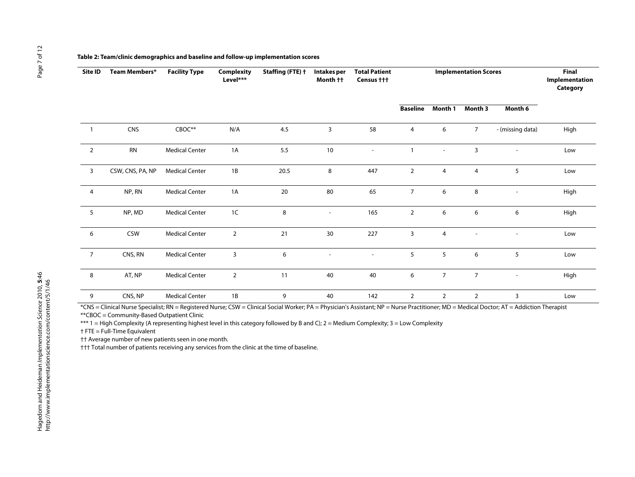| Site ID        | <b>Team Members*</b> | <b>Facility Type</b>  | Complexity<br>Level*** | Staffing (FTE) + | Intakes per<br>Month <sup>++</sup> | <b>Total Patient</b><br>Census ttt | <b>Implementation Scores</b> |                          |                |                          | <b>Final</b><br>Implementation<br>Category |
|----------------|----------------------|-----------------------|------------------------|------------------|------------------------------------|------------------------------------|------------------------------|--------------------------|----------------|--------------------------|--------------------------------------------|
|                |                      |                       |                        |                  |                                    |                                    |                              | <b>Baseline</b>          | Month 1        | Month 3                  | Month 6                                    |
| $\overline{1}$ | CNS                  | CBOC**                | N/A                    | 4.5              | 3                                  | 58                                 | 4                            | 6                        | $\overline{7}$ | - (missing data)         | High                                       |
| $\overline{2}$ | <b>RN</b>            | <b>Medical Center</b> | 1A                     | 5.5              | 10                                 | $\overline{\phantom{a}}$           | $\mathbf{1}$                 | $\overline{\phantom{a}}$ | 3              | $\overline{\phantom{a}}$ | Low                                        |
| 3              | CSW, CNS, PA, NP     | <b>Medical Center</b> | 1B                     | 20.5             | 8                                  | 447                                | $\overline{2}$               | $\overline{4}$           | $\overline{4}$ | 5                        | Low                                        |
| $\overline{4}$ | NP, RN               | <b>Medical Center</b> | 1A                     | 20               | 80                                 | 65                                 | $\overline{7}$               | 6                        | 8              | $\overline{\phantom{a}}$ | High                                       |
| 5              | NP, MD               | <b>Medical Center</b> | 1C                     | 8                |                                    | 165                                | $\overline{2}$               | 6                        | 6              | 6                        | High                                       |
| 6              | <b>CSW</b>           | <b>Medical Center</b> | $\overline{2}$         | 21               | 30                                 | 227                                | 3                            | 4                        |                |                          | Low                                        |
| $\overline{7}$ | CNS, RN              | <b>Medical Center</b> | $\overline{3}$         | 6                |                                    | $\overline{\phantom{m}}$           | 5                            | 5                        | 6              | 5                        | Low                                        |
| 8              | AT, NP               | <b>Medical Center</b> | $\overline{2}$         | 11               | 40                                 | 40                                 | 6                            | $\overline{7}$           | $\overline{7}$ | $\overline{\phantom{a}}$ | High                                       |
| 9              | CNS, NP              | <b>Medical Center</b> | 1B                     | 9                | 40                                 | 142                                | $\overline{2}$               | $\overline{2}$           | $\overline{2}$ | 3                        | Low                                        |

#### **Table 2: Team/clinic demographics and baseline and follow-up implementation scores**

\*CNS = Clinical Nurse Specialist; RN = Registered Nurse; CSW = Clinical Social Worker; PA = Physician's Assistant; NP = Nurse Practitioner; MD = Medical Doctor; AT = Addiction Therapist \*\*CBOC = Community-Based Outpatient Clinic

\*\*\* 1 = High Complexity (A representing highest level in this category followed by B and C); 2 = Medium Complexity; 3 = Low Complexity

† FTE = Full-Time Equivalent

†† Average number of new patients seen in one month.

<span id="page-6-0"></span>††† Total number of patients receiving any services from the clinic at the time of baseline.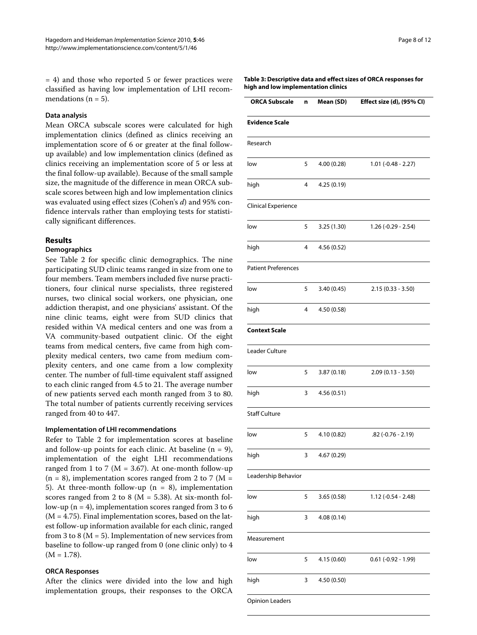$= 4$ ) and those who reported 5 or fewer practices were classified as having low implementation of LHI recommendations ( $n = 5$ ).

## **Data analysis**

Mean ORCA subscale scores were calculated for high implementation clinics (defined as clinics receiving an implementation score of 6 or greater at the final followup available) and low implementation clinics (defined as clinics receiving an implementation score of 5 or less at the final follow-up available). Because of the small sample size, the magnitude of the difference in mean ORCA subscale scores between high and low implementation clinics was evaluated using effect sizes (Cohen's *d*) and 95% confidence intervals rather than employing tests for statistically significant differences.

### **Results**

#### **Demographics**

See Table [2](#page-6-0) for specific clinic demographics. The nine participating SUD clinic teams ranged in size from one to four members. Team members included five nurse practitioners, four clinical nurse specialists, three registered nurses, two clinical social workers, one physician, one addiction therapist, and one physicians' assistant. Of the nine clinic teams, eight were from SUD clinics that resided within VA medical centers and one was from a VA community-based outpatient clinic. Of the eight teams from medical centers, five came from high complexity medical centers, two came from medium complexity centers, and one came from a low complexity center. The number of full-time equivalent staff assigned to each clinic ranged from 4.5 to 21. The average number of new patients served each month ranged from 3 to 80. The total number of patients currently receiving services ranged from 40 to 447.

#### **Implementation of LHI recommendations**

Refer to Table [2](#page-6-0) for implementation scores at baseline and follow-up points for each clinic. At baseline  $(n = 9)$ , implementation of the eight LHI recommendations ranged from 1 to 7 ( $M = 3.67$ ). At one-month follow-up  $(n = 8)$ , implementation scores ranged from 2 to 7 (M = 5). At three-month follow-up ( $n = 8$ ), implementation scores ranged from 2 to 8 ( $M = 5.38$ ). At six-month follow-up ( $n = 4$ ), implementation scores ranged from 3 to 6  $(M = 4.75)$ . Final implementation scores, based on the latest follow-up information available for each clinic, ranged from 3 to 8 ( $M = 5$ ). Implementation of new services from baseline to follow-up ranged from 0 (one clinic only) to 4  $(M = 1.78).$ 

#### **ORCA Responses**

After the clinics were divided into the low and high implementation groups, their responses to the ORCA

#### **Table 3: Descriptive data and effect sizes of ORCA responses for high and low implementation clinics**

| <b>ORCA Subscale</b>       | n | Mean (SD)   | Effect size (d), (95% CI) |
|----------------------------|---|-------------|---------------------------|
| <b>Evidence Scale</b>      |   |             |                           |
| Research                   |   |             |                           |
| low                        | 5 | 4.00(0.28)  | $1.01 (-0.48 - 2.27)$     |
| high                       | 4 | 4.25 (0.19) |                           |
| Clinical Experience        |   |             |                           |
| low                        | 5 | 3.25(1.30)  | $1.26$ (-0.29 - 2.54)     |
| high                       | 4 | 4.56 (0.52) |                           |
| <b>Patient Preferences</b> |   |             |                           |
| low                        | 5 | 3.40(0.45)  | $2.15(0.33 - 3.50)$       |
| high                       | 4 | 4.50 (0.58) |                           |
| <b>Context Scale</b>       |   |             |                           |
| Leader Culture             |   |             |                           |
| low                        | 5 | 3.87(0.18)  | $2.09(0.13 - 3.50)$       |
| high                       | 3 | 4.56(0.51)  |                           |
| <b>Staff Culture</b>       |   |             |                           |
| low                        | 5 | 4.10(0.82)  | $.82(-0.76 - 2.19)$       |
| high                       | 3 | 4.67 (0.29) |                           |
| Leadership Behavior        |   |             |                           |
| low                        | 5 | 3.65 (0.58) | $1.12(-0.54 - 2.48)$      |
| high                       | 3 | 4.08 (0.14) |                           |
| Measurement                |   |             |                           |
| low                        | 5 | 4.15(0.60)  | $0.61$ (-0.92 - 1.99)     |
| high                       | 3 | 4.50 (0.50) |                           |
| <b>Opinion Leaders</b>     |   |             |                           |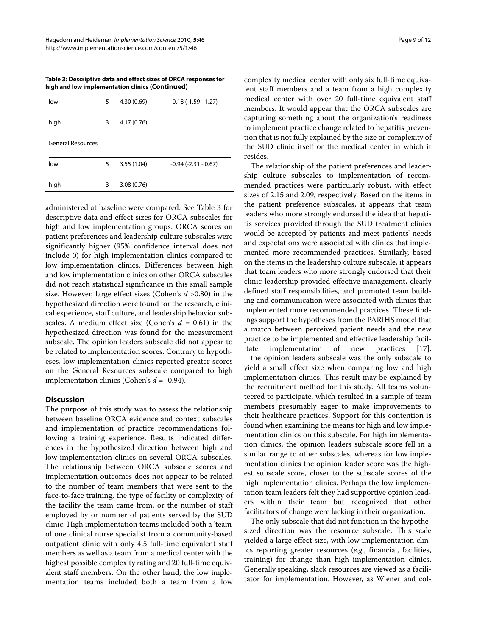**Table 3: Descriptive data and effect sizes of ORCA responses for high and low implementation clinics (Continued)**

| low                      | 5 | 4.30(0.69) | $-0.18(-1.59 - 1.27)$      |
|--------------------------|---|------------|----------------------------|
| high                     | 3 | 4.17(0.76) |                            |
| <b>General Resources</b> |   |            |                            |
| low                      | 5 | 3.55(1.04) | $-0.94$ ( $-2.31 - 0.67$ ) |
| high                     | 3 | 3.08(0.76) |                            |

administered at baseline were compared. See Table 3 for descriptive data and effect sizes for ORCA subscales for high and low implementation groups. ORCA scores on patient preferences and leadership culture subscales were significantly higher (95% confidence interval does not include 0) for high implementation clinics compared to low implementation clinics. Differences between high and low implementation clinics on other ORCA subscales did not reach statistical significance in this small sample size. However, large effect sizes (Cohen's *d* >0.80) in the hypothesized direction were found for the research, clinical experience, staff culture, and leadership behavior subscales. A medium effect size (Cohen's *d* = 0.61) in the hypothesized direction was found for the measurement subscale. The opinion leaders subscale did not appear to be related to implementation scores. Contrary to hypotheses, low implementation clinics reported greater scores on the General Resources subscale compared to high implementation clinics (Cohen's *d* = -0.94).

#### **Discussion**

The purpose of this study was to assess the relationship between baseline ORCA evidence and context subscales and implementation of practice recommendations following a training experience. Results indicated differences in the hypothesized direction between high and low implementation clinics on several ORCA subscales. The relationship between ORCA subscale scores and implementation outcomes does not appear to be related to the number of team members that were sent to the face-to-face training, the type of facility or complexity of the facility the team came from, or the number of staff employed by or number of patients served by the SUD clinic. High implementation teams included both a 'team' of one clinical nurse specialist from a community-based outpatient clinic with only 4.5 full-time equivalent staff members as well as a team from a medical center with the highest possible complexity rating and 20 full-time equivalent staff members. On the other hand, the low implementation teams included both a team from a low

complexity medical center with only six full-time equivalent staff members and a team from a high complexity medical center with over 20 full-time equivalent staff members. It would appear that the ORCA subscales are capturing something about the organization's readiness to implement practice change related to hepatitis prevention that is not fully explained by the size or complexity of the SUD clinic itself or the medical center in which it resides.

The relationship of the patient preferences and leadership culture subscales to implementation of recommended practices were particularly robust, with effect sizes of 2.15 and 2.09, respectively. Based on the items in the patient preference subscales, it appears that team leaders who more strongly endorsed the idea that hepatitis services provided through the SUD treatment clinics would be accepted by patients and meet patients' needs and expectations were associated with clinics that implemented more recommended practices. Similarly, based on the items in the leadership culture subscale, it appears that team leaders who more strongly endorsed that their clinic leadership provided effective management, clearly defined staff responsibilities, and promoted team building and communication were associated with clinics that implemented more recommended practices. These findings support the hypotheses from the PARIHS model that a match between perceived patient needs and the new practice to be implemented and effective leadership facilitate implementation of new practices [\[17](#page-11-10)].

the opinion leaders subscale was the only subscale to yield a small effect size when comparing low and high implementation clinics. This result may be explained by the recruitment method for this study. All teams volunteered to participate, which resulted in a sample of team members presumably eager to make improvements to their healthcare practices. Support for this contention is found when examining the means for high and low implementation clinics on this subscale. For high implementation clinics, the opinion leaders subscale score fell in a similar range to other subscales, whereas for low implementation clinics the opinion leader score was the highest subscale score, closer to the subscale scores of the high implementation clinics. Perhaps the low implementation team leaders felt they had supportive opinion leaders within their team but recognized that other facilitators of change were lacking in their organization.

The only subscale that did not function in the hypothesized direction was the resource subscale. This scale yielded a large effect size, with low implementation clinics reporting greater resources (*e.g.*, financial, facilities, training) for change than high implementation clinics. Generally speaking, slack resources are viewed as a facilitator for implementation. However, as Wiener and col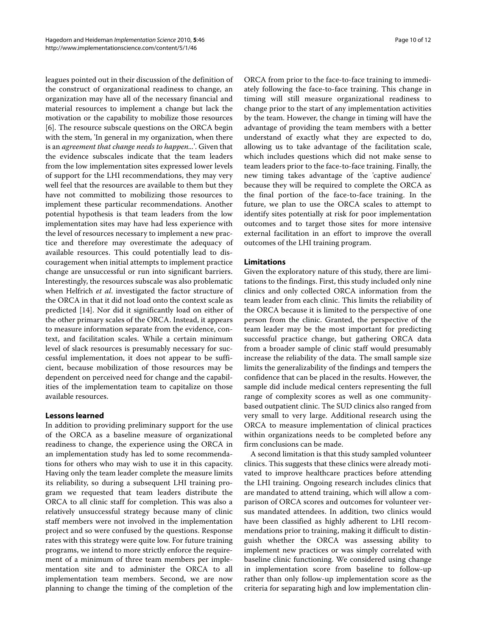leagues pointed out in their discussion of the definition of the construct of organizational readiness to change, an organization may have all of the necessary financial and material resources to implement a change but lack the motivation or the capability to mobilize those resources [[6\]](#page-11-2). The resource subscale questions on the ORCA begin with the stem, 'In general in my organization, when there is an *agreement that change needs to happen...*'. Given that the evidence subscales indicate that the team leaders from the low implementation sites expressed lower levels of support for the LHI recommendations, they may very well feel that the resources are available to them but they have not committed to mobilizing those resources to implement these particular recommendations. Another potential hypothesis is that team leaders from the low implementation sites may have had less experience with the level of resources necessary to implement a new practice and therefore may overestimate the adequacy of available resources. This could potentially lead to discouragement when initial attempts to implement practice change are unsuccessful or run into significant barriers. Interestingly, the resources subscale was also problematic when Helfrich *et al*. investigated the factor structure of the ORCA in that it did not load onto the context scale as predicted [\[14](#page-11-8)]. Nor did it significantly load on either of the other primary scales of the ORCA. Instead, it appears to measure information separate from the evidence, context, and facilitation scales. While a certain minimum level of slack resources is presumably necessary for successful implementation, it does not appear to be sufficient, because mobilization of those resources may be dependent on perceived need for change and the capabilities of the implementation team to capitalize on those available resources.

## **Lessons learned**

In addition to providing preliminary support for the use of the ORCA as a baseline measure of organizational readiness to change, the experience using the ORCA in an implementation study has led to some recommendations for others who may wish to use it in this capacity. Having only the team leader complete the measure limits its reliability, so during a subsequent LHI training program we requested that team leaders distribute the ORCA to all clinic staff for completion. This was also a relatively unsuccessful strategy because many of clinic staff members were not involved in the implementation project and so were confused by the questions. Response rates with this strategy were quite low. For future training programs, we intend to more strictly enforce the requirement of a minimum of three team members per implementation site and to administer the ORCA to all implementation team members. Second, we are now planning to change the timing of the completion of the

ORCA from prior to the face-to-face training to immediately following the face-to-face training. This change in timing will still measure organizational readiness to change prior to the start of any implementation activities by the team. However, the change in timing will have the advantage of providing the team members with a better understand of exactly what they are expected to do, allowing us to take advantage of the facilitation scale, which includes questions which did not make sense to team leaders prior to the face-to-face training. Finally, the new timing takes advantage of the 'captive audience' because they will be required to complete the ORCA as the final portion of the face-to-face training. In the future, we plan to use the ORCA scales to attempt to identify sites potentially at risk for poor implementation outcomes and to target those sites for more intensive external facilitation in an effort to improve the overall outcomes of the LHI training program.

## **Limitations**

Given the exploratory nature of this study, there are limitations to the findings. First, this study included only nine clinics and only collected ORCA information from the team leader from each clinic. This limits the reliability of the ORCA because it is limited to the perspective of one person from the clinic. Granted, the perspective of the team leader may be the most important for predicting successful practice change, but gathering ORCA data from a broader sample of clinic staff would presumably increase the reliability of the data. The small sample size limits the generalizability of the findings and tempers the confidence that can be placed in the results. However, the sample did include medical centers representing the full range of complexity scores as well as one communitybased outpatient clinic. The SUD clinics also ranged from very small to very large. Additional research using the ORCA to measure implementation of clinical practices within organizations needs to be completed before any firm conclusions can be made.

A second limitation is that this study sampled volunteer clinics. This suggests that these clinics were already motivated to improve healthcare practices before attending the LHI training. Ongoing research includes clinics that are mandated to attend training, which will allow a comparison of ORCA scores and outcomes for volunteer versus mandated attendees. In addition, two clinics would have been classified as highly adherent to LHI recommendations prior to training, making it difficult to distinguish whether the ORCA was assessing ability to implement new practices or was simply correlated with baseline clinic functioning. We considered using change in implementation score from baseline to follow-up rather than only follow-up implementation score as the criteria for separating high and low implementation clin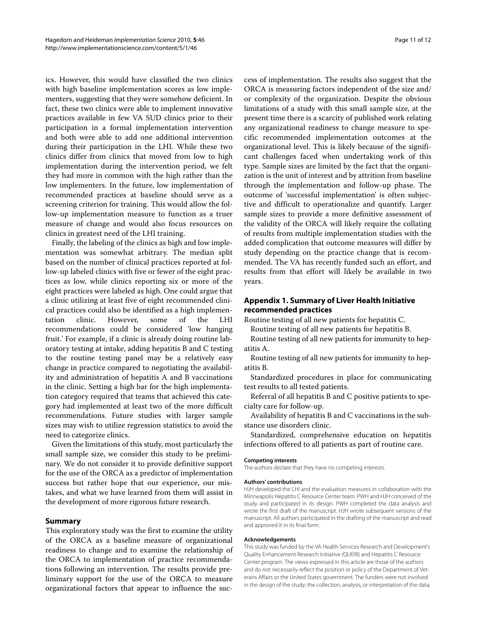ics. However, this would have classified the two clinics with high baseline implementation scores as low implementers, suggesting that they were somehow deficient. In fact, these two clinics were able to implement innovative practices available in few VA SUD clinics prior to their participation in a formal implementation intervention and both were able to add one additional intervention during their participation in the LHI. While these two clinics differ from clinics that moved from low to high implementation during the intervention period, we felt they had more in common with the high rather than the low implementers. In the future, low implementation of recommended practices at baseline should serve as a screening criterion for training. This would allow the follow-up implementation measure to function as a truer measure of change and would also focus resources on clinics in greatest need of the LHI training.

Finally, the labeling of the clinics as high and low implementation was somewhat arbitrary. The median split based on the number of clinical practices reported at follow-up labeled clinics with five or fewer of the eight practices as low, while clinics reporting six or more of the eight practices were labeled as high. One could argue that a clinic utilizing at least five of eight recommended clinical practices could also be identified as a high implementation clinic. However, some of the LHI recommendations could be considered 'low hanging fruit.' For example, if a clinic is already doing routine laboratory testing at intake, adding hepatitis B and C testing to the routine testing panel may be a relatively easy change in practice compared to negotiating the availability and administration of hepatitis A and B vaccinations in the clinic. Setting a high bar for the high implementation category required that teams that achieved this category had implemented at least two of the more difficult recommendations. Future studies with larger sample sizes may wish to utilize regression statistics to avoid the need to categorize clinics.

Given the limitations of this study, most particularly the small sample size, we consider this study to be preliminary. We do not consider it to provide definitive support for the use of the ORCA as a predictor of implementation success but rather hope that our experience, our mistakes, and what we have learned from them will assist in the development of more rigorous future research.

## **Summary**

This exploratory study was the first to examine the utility of the ORCA as a baseline measure of organizational readiness to change and to examine the relationship of the ORCA to implementation of practice recommendations following an intervention. The results provide preliminary support for the use of the ORCA to measure organizational factors that appear to influence the suc-

cess of implementation. The results also suggest that the ORCA is measuring factors independent of the size and/ or complexity of the organization. Despite the obvious limitations of a study with this small sample size, at the present time there is a scarcity of published work relating any organizational readiness to change measure to specific recommended implementation outcomes at the organizational level. This is likely because of the significant challenges faced when undertaking work of this type. Sample sizes are limited by the fact that the organization is the unit of interest and by attrition from baseline through the implementation and follow-up phase. The outcome of 'successful implementation' is often subjective and difficult to operationalize and quantify. Larger sample sizes to provide a more definitive assessment of the validity of the ORCA will likely require the collating of results from multiple implementation studies with the added complication that outcome measures will differ by

study depending on the practice change that is recommended. The VA has recently funded such an effort, and results from that effort will likely be available in two years.

## **Appendix 1. Summary of Liver Health Initiative recommended practices**

Routine testing of all new patients for hepatitis C.

Routine testing of all new patients for hepatitis B.

Routine testing of all new patients for immunity to hepatitis A.

Routine testing of all new patients for immunity to hepatitis B.

Standardized procedures in place for communicating test results to all tested patients.

Referral of all hepatitis B and C positive patients to specialty care for follow-up.

Availability of hepatitis B and C vaccinations in the substance use disorders clinic.

Standardized, comprehensive education on hepatitis infections offered to all patients as part of routine care.

#### **Competing interests**

The authors declare that they have no competing interests.

#### **Authors' contributions**

HJH developed the LHI and the evaluation measures in collaboration with the Minneapolis Hepatitis C Resource Center team. PWH and HJH conceived of the study and participated in its design. PWH completed the data analysis and wrote the first draft of the manuscript. HJH wrote subsequent versions of the manuscript. All authors participated in the drafting of the manuscript and read and approved it in its final form.

#### **Acknowledgements**

This study was funded by the VA Health Services Research and Development's Quality Enhancement Research Initiative (QUERI) and Hepatitis C Resource Center program. The views expressed in this article are those of the authors and do not necessarily reflect the position or policy of the Department of Veterans Affairs or the United States government. The funders were not involved in the design of the study; the collection, analysis, or interpretation of the data;